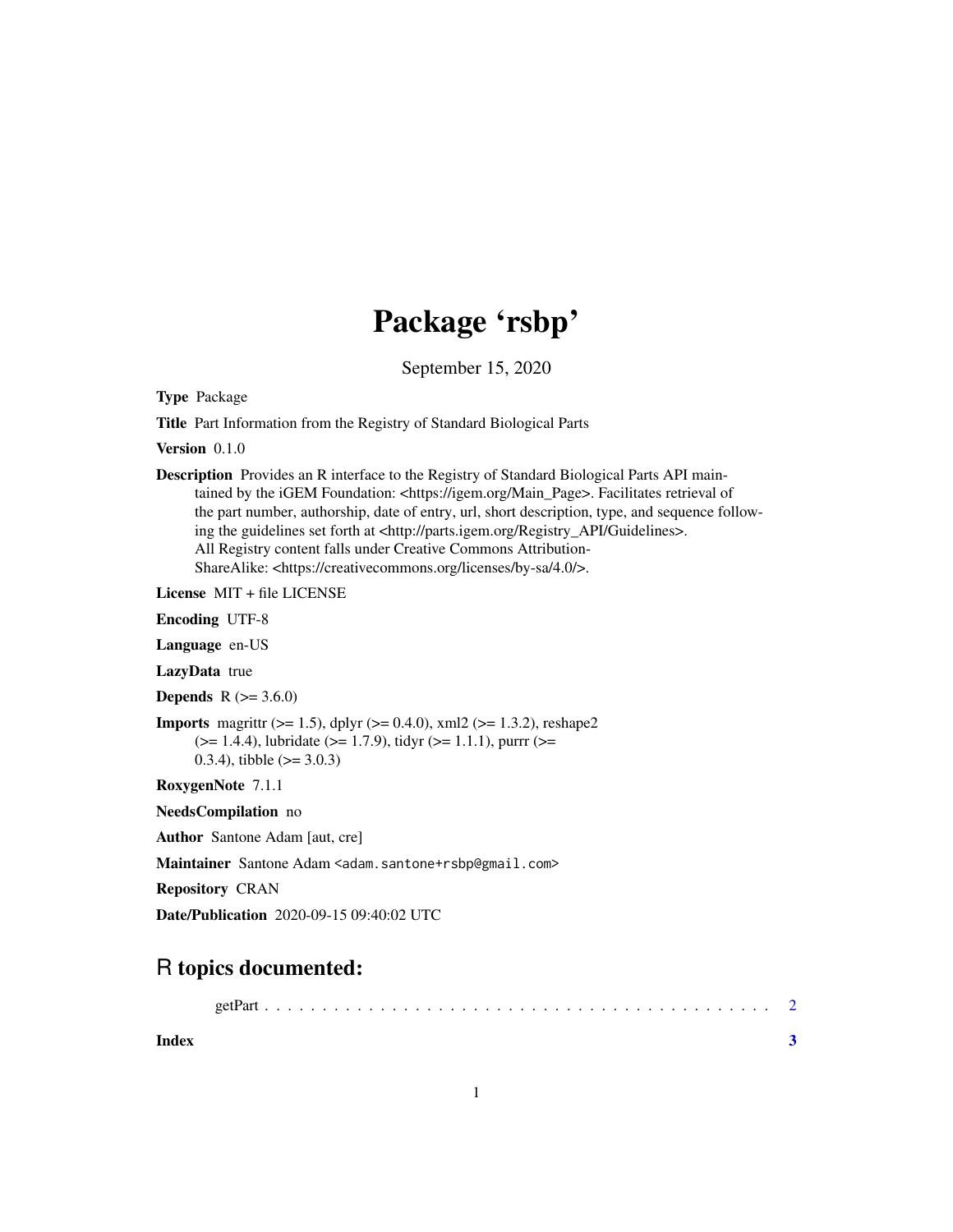## Package 'rsbp'

September 15, 2020

Type Package

Title Part Information from the Registry of Standard Biological Parts

Version 0.1.0

Description Provides an R interface to the Registry of Standard Biological Parts API maintained by the iGEM Foundation: <https://igem.org/Main\_Page>. Facilitates retrieval of the part number, authorship, date of entry, url, short description, type, and sequence following the guidelines set forth at <http://parts.igem.org/Registry\_API/Guidelines>. All Registry content falls under Creative Commons Attribution-ShareAlike: <https://creativecommons.org/licenses/by-sa/4.0/>.

License MIT + file LICENSE

Encoding UTF-8

Language en-US

LazyData true

**Depends** R  $(>= 3.6.0)$ 

**Imports** magnittr ( $>= 1.5$ ), dplyr ( $>= 0.4.0$ ), xml2 ( $>= 1.3.2$ ), reshape2  $(>= 1.4.4)$ , lubridate ( $>= 1.7.9$ ), tidyr ( $>= 1.1.1$ ), purrr ( $>= 1.1.4$ ) 0.3.4), tibble  $(>= 3.0.3)$ 

RoxygenNote 7.1.1

NeedsCompilation no

Author Santone Adam [aut, cre]

Maintainer Santone Adam <adam.santone+rsbp@gmail.com>

Repository CRAN

Date/Publication 2020-09-15 09:40:02 UTC

### R topics documented:

|--|--|--|--|--|

**Index** [3](#page-2-0)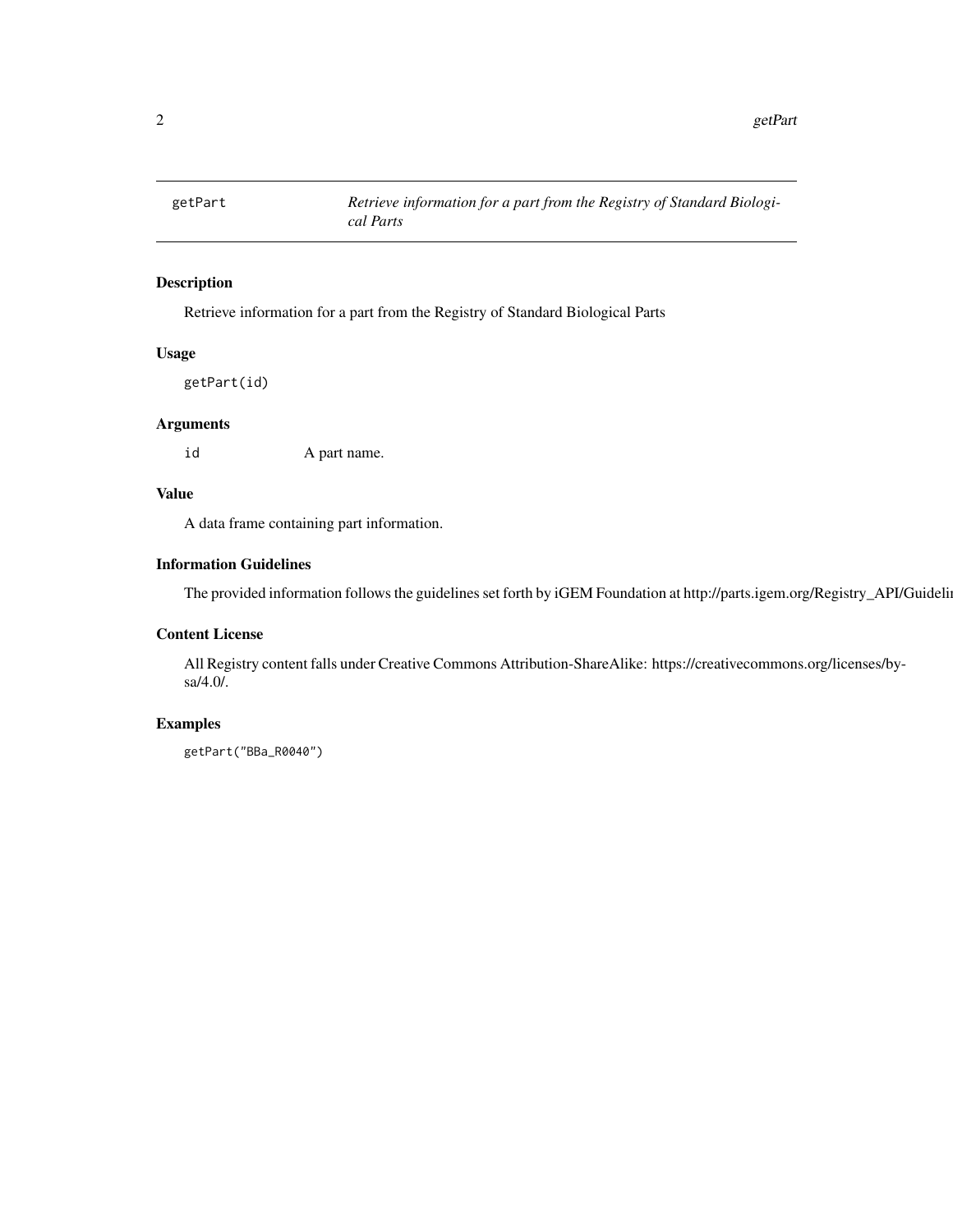<span id="page-1-0"></span>

#### Description

Retrieve information for a part from the Registry of Standard Biological Parts

#### Usage

getPart(id)

#### Arguments

id A part name.

#### Value

A data frame containing part information.

#### Information Guidelines

The provided information follows the guidelines set forth by iGEM Foundation at http://parts.igem.org/Registry\_API/Guideli

#### Content License

All Registry content falls under Creative Commons Attribution-ShareAlike: https://creativecommons.org/licenses/bysa/4.0/.

#### Examples

getPart("BBa\_R0040")